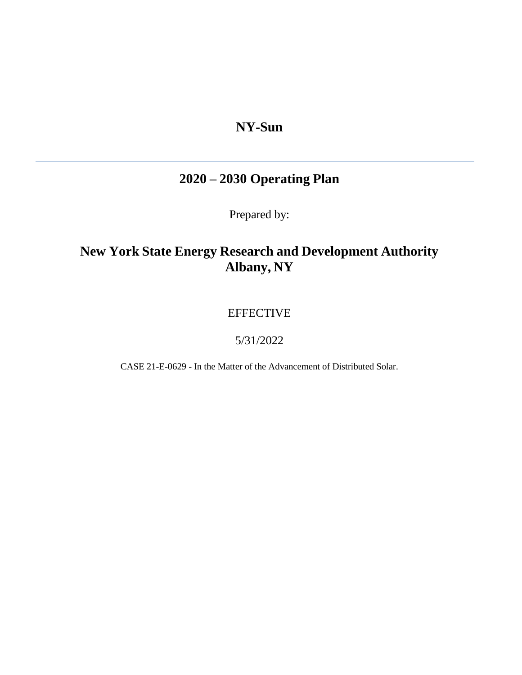# **NY-Sun**

# **2020 – 2030 Operating Plan**

Prepared by:

# **New York State Energy Research and Development Authority Albany, NY**

## EFFECTIVE

## 5/31/2022

CASE 21-E-0629 - In the Matter of the Advancement of Distributed Solar.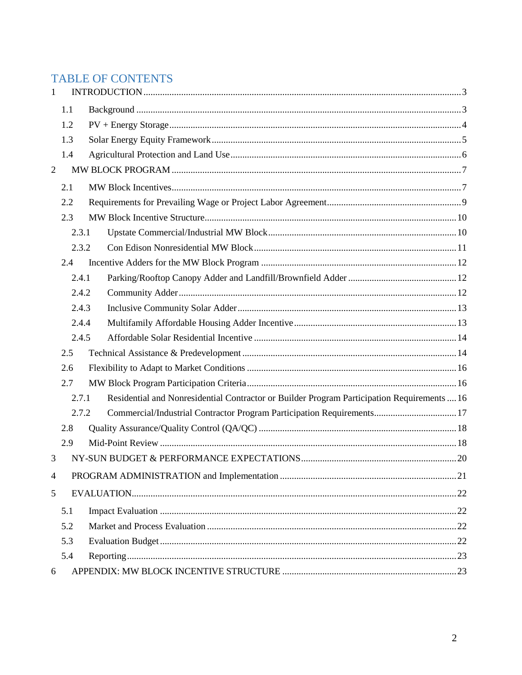# TABLE OF CONTENTS

| $\mathbf{1}$   |       |  |                                                                                             |  |  |  |
|----------------|-------|--|---------------------------------------------------------------------------------------------|--|--|--|
|                | 1.1   |  |                                                                                             |  |  |  |
|                | 1.2   |  |                                                                                             |  |  |  |
|                | 1.3   |  |                                                                                             |  |  |  |
|                | 1.4   |  |                                                                                             |  |  |  |
| $\overline{2}$ |       |  |                                                                                             |  |  |  |
|                | 2.1   |  |                                                                                             |  |  |  |
|                | 2.2   |  |                                                                                             |  |  |  |
|                | 2.3   |  |                                                                                             |  |  |  |
|                | 2.3.1 |  |                                                                                             |  |  |  |
|                | 2.3.2 |  |                                                                                             |  |  |  |
|                | 2.4   |  |                                                                                             |  |  |  |
|                | 2.4.1 |  |                                                                                             |  |  |  |
|                | 2.4.2 |  |                                                                                             |  |  |  |
|                | 2.4.3 |  |                                                                                             |  |  |  |
|                | 2.4.4 |  |                                                                                             |  |  |  |
|                | 2.4.5 |  |                                                                                             |  |  |  |
|                | 2.5   |  |                                                                                             |  |  |  |
|                | 2.6   |  |                                                                                             |  |  |  |
|                | 2.7   |  |                                                                                             |  |  |  |
|                | 2.7.1 |  | Residential and Nonresidential Contractor or Builder Program Participation Requirements  16 |  |  |  |
|                | 2.7.2 |  | Commercial/Industrial Contractor Program Participation Requirements 17                      |  |  |  |
|                | 2.8   |  |                                                                                             |  |  |  |
|                | 2.9   |  |                                                                                             |  |  |  |
| 3              |       |  |                                                                                             |  |  |  |
| $\overline{4}$ |       |  |                                                                                             |  |  |  |
| 5              |       |  |                                                                                             |  |  |  |
|                | 5.1   |  |                                                                                             |  |  |  |
|                | 5.2   |  |                                                                                             |  |  |  |
|                | 5.3   |  |                                                                                             |  |  |  |
|                | 5.4   |  |                                                                                             |  |  |  |
| 6              |       |  |                                                                                             |  |  |  |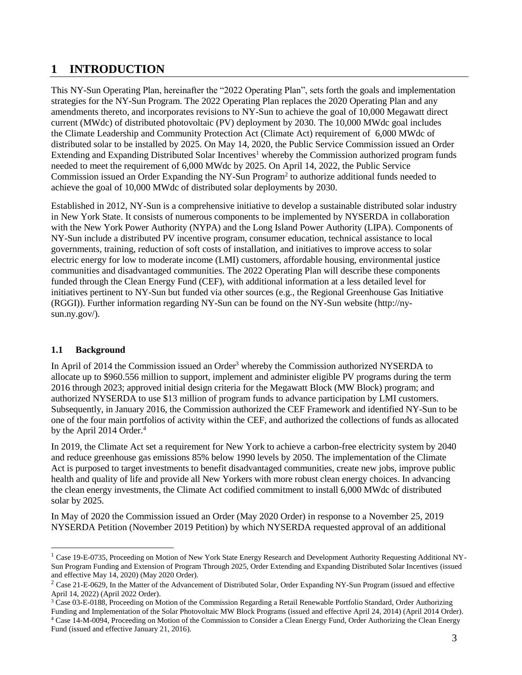## <span id="page-2-0"></span>**1 INTRODUCTION**

This NY-Sun Operating Plan, hereinafter the "2022 Operating Plan", sets forth the goals and implementation strategies for the NY-Sun Program. The 2022 Operating Plan replaces the 2020 Operating Plan and any amendments thereto, and incorporates revisions to NY-Sun to achieve the goal of 10,000 Megawatt direct current (MWdc) of distributed photovoltaic (PV) deployment by 2030. The 10,000 MWdc goal includes the Climate Leadership and Community Protection Act (Climate Act) requirement of 6,000 MWdc of distributed solar to be installed by 2025. On May 14, 2020, the Public Service Commission issued an Order Extending and Expanding Distributed Solar Incentives<sup>1</sup> whereby the Commission authorized program funds needed to meet the requirement of 6,000 MWdc by 2025. On April 14, 2022, the Public Service Commission issued an Order Expanding the NY-Sun Program<sup>2</sup> to authorize additional funds needed to achieve the goal of 10,000 MWdc of distributed solar deployments by 2030.

Established in 2012, NY-Sun is a comprehensive initiative to develop a sustainable distributed solar industry in New York State. It consists of numerous components to be implemented by NYSERDA in collaboration with the New York Power Authority (NYPA) and the Long Island Power Authority (LIPA). Components of NY-Sun include a distributed PV incentive program, consumer education, technical assistance to local governments, training, reduction of soft costs of installation, and initiatives to improve access to solar electric energy for low to moderate income (LMI) customers, affordable housing, environmental justice communities and disadvantaged communities. The 2022 Operating Plan will describe these components funded through the Clean Energy Fund (CEF), with additional information at a less detailed level for initiatives pertinent to NY-Sun but funded via other sources (e.g., the Regional Greenhouse Gas Initiative (RGGI)). Further information regarding NY-Sun can be found on the NY-Sun website (http://nysun.ny.gov/).

## <span id="page-2-1"></span>**1.1 Background**

 $\overline{\phantom{a}}$ 

In April of 2014 the Commission issued an Order<sup>3</sup> whereby the Commission authorized NYSERDA to allocate up to \$960.556 million to support, implement and administer eligible PV programs during the term 2016 through 2023; approved initial design criteria for the Megawatt Block (MW Block) program; and authorized NYSERDA to use \$13 million of program funds to advance participation by LMI customers. Subsequently, in January 2016, the Commission authorized the CEF Framework and identified NY-Sun to be one of the four main portfolios of activity within the CEF, and authorized the collections of funds as allocated by the April 2014 Order.<sup>4</sup>

In 2019, the Climate Act set a requirement for New York to achieve a carbon-free electricity system by 2040 and reduce greenhouse gas emissions 85% below 1990 levels by 2050. The implementation of the Climate Act is purposed to target investments to benefit disadvantaged communities, create new jobs, improve public health and quality of life and provide all New Yorkers with more robust clean energy choices. In advancing the clean energy investments, the Climate Act codified commitment to install 6,000 MWdc of distributed solar by 2025.

In May of 2020 the Commission issued an Order (May 2020 Order) in response to a November 25, 2019 NYSERDA Petition (November 2019 Petition) by which NYSERDA requested approval of an additional

<sup>&</sup>lt;sup>1</sup> Case 19-E-0735, Proceeding on Motion of New York State Energy Research and Development Authority Requesting Additional NY-Sun Program Funding and Extension of Program Through 2025, Order Extending and Expanding Distributed Solar Incentives (issued and effective May 14, 2020) (May 2020 Order).

 $2$  Case 21-E-0629, In the Matter of the Advancement of Distributed Solar, Order Expanding NY-Sun Program (issued and effective April 14, 2022) (April 2022 Order).

<sup>3</sup> Case 03-E-0188, Proceeding on Motion of the Commission Regarding a Retail Renewable Portfolio Standard, Order Authorizing Funding and Implementation of the Solar Photovoltaic MW Block Programs (issued and effective April 24, 2014) (April 2014 Order). <sup>4</sup> Case 14-M-0094, Proceeding on Motion of the Commission to Consider a Clean Energy Fund, Order Authorizing the Clean Energy Fund (issued and effective January 21, 2016).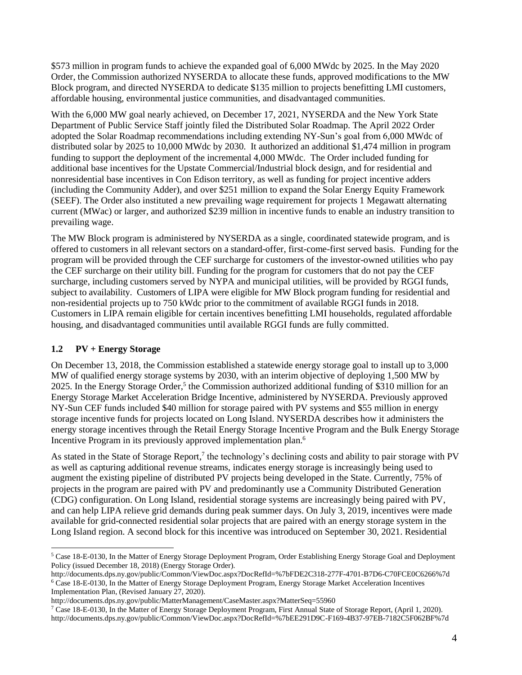\$573 million in program funds to achieve the expanded goal of 6,000 MWdc by 2025. In the May 2020 Order, the Commission authorized NYSERDA to allocate these funds, approved modifications to the MW Block program, and directed NYSERDA to dedicate \$135 million to projects benefitting LMI customers, affordable housing, environmental justice communities, and disadvantaged communities.

With the 6,000 MW goal nearly achieved, on December 17, 2021, NYSERDA and the New York State Department of Public Service Staff jointly filed the Distributed Solar Roadmap. The April 2022 Order adopted the Solar Roadmap recommendations including extending NY-Sun's goal from 6,000 MWdc of distributed solar by 2025 to 10,000 MWdc by 2030. It authorized an additional \$1,474 million in program funding to support the deployment of the incremental 4,000 MWdc. The Order included funding for additional base incentives for the Upstate Commercial/Industrial block design, and for residential and nonresidential base incentives in Con Edison territory, as well as funding for project incentive adders (including the Community Adder), and over \$251 million to expand the Solar Energy Equity Framework (SEEF). The Order also instituted a new prevailing wage requirement for projects 1 Megawatt alternating current (MWac) or larger, and authorized \$239 million in incentive funds to enable an industry transition to prevailing wage.

The MW Block program is administered by NYSERDA as a single, coordinated statewide program, and is offered to customers in all relevant sectors on a standard-offer, first-come-first served basis. Funding for the program will be provided through the CEF surcharge for customers of the investor-owned utilities who pay the CEF surcharge on their utility bill. Funding for the program for customers that do not pay the CEF surcharge, including customers served by NYPA and municipal utilities, will be provided by RGGI funds, subject to availability. Customers of LIPA were eligible for MW Block program funding for residential and non-residential projects up to 750 kWdc prior to the commitment of available RGGI funds in 2018. Customers in LIPA remain eligible for certain incentives benefitting LMI households, regulated affordable housing, and disadvantaged communities until available RGGI funds are fully committed.

## <span id="page-3-0"></span>**1.2 PV + Energy Storage**

 $\overline{\phantom{a}}$ 

On December 13, 2018, the Commission established a statewide energy storage goal to install up to 3,000 MW of qualified energy storage systems by 2030, with an interim objective of deploying 1,500 MW by 2025. In the Energy Storage Order,<sup>5</sup> the Commission authorized additional funding of \$310 million for an Energy Storage Market Acceleration Bridge Incentive, administered by NYSERDA. Previously approved NY-Sun CEF funds included \$40 million for storage paired with PV systems and \$55 million in energy storage incentive funds for projects located on Long Island. NYSERDA describes how it administers the energy storage incentives through the Retail Energy Storage Incentive Program and the Bulk Energy Storage Incentive Program in its previously approved implementation plan.<sup>6</sup>

As stated in the State of Storage Report,<sup>7</sup> the technology's declining costs and ability to pair storage with PV as well as capturing additional revenue streams, indicates energy storage is increasingly being used to augment the existing pipeline of distributed PV projects being developed in the State. Currently, 75% of projects in the program are paired with PV and predominantly use a Community Distributed Generation (CDG) configuration. On Long Island, residential storage systems are increasingly being paired with PV, and can help LIPA relieve grid demands during peak summer days. On July 3, 2019, incentives were made available for grid-connected residential solar projects that are paired with an energy storage system in the Long Island region. A second block for this incentive was introduced on September 30, 2021. Residential

<sup>5</sup> Case 18-E-0130, In the Matter of Energy Storage Deployment Program, Order Establishing Energy Storage Goal and Deployment Policy (issued December 18, 2018) (Energy Storage Order).

http://documents.dps.ny.gov/public/Common/ViewDoc.aspx?DocRefId=%7bFDE2C318-277F-4701-B7D6-C70FCE0C6266%7d <sup>6</sup> Case 18-E-0130, In the Matter of Energy Storage Deployment Program, Energy Storage Market Acceleration Incentives Implementation Plan, (Revised January 27, 2020).

http://documents.dps.ny.gov/public/MatterManagement/CaseMaster.aspx?MatterSeq=55960

<sup>7</sup> Case 18-E-0130, In the Matter of Energy Storage Deployment Program, First Annual State of Storage Report, (April 1, 2020). http://documents.dps.ny.gov/public/Common/ViewDoc.aspx?DocRefId=%7bEE291D9C-F169-4B37-97EB-7182C5F062BF%7d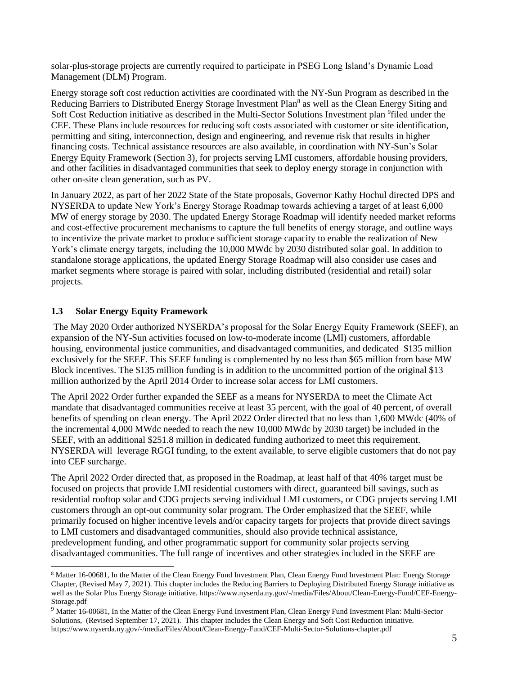solar-plus-storage projects are currently required to participate in PSEG Long Island's Dynamic Load Management (DLM) Program.

Energy storage soft cost reduction activities are coordinated with the NY-Sun Program as described in the Reducing Barriers to Distributed Energy Storage Investment Plan<sup>8</sup> as well as the Clean Energy Siting and Soft Cost Reduction initiative as described in the Multi-Sector Solutions Investment plan <sup>9</sup>filed under the CEF. These Plans include resources for reducing soft costs associated with customer or site identification, permitting and siting, interconnection, design and engineering, and revenue risk that results in higher financing costs. Technical assistance resources are also available, in coordination with NY-Sun's Solar Energy Equity Framework (Section 3), for projects serving LMI customers, affordable housing providers, and other facilities in disadvantaged communities that seek to deploy energy storage in conjunction with other on-site clean generation, such as PV.

In January 2022, as part of her 2022 State of the State proposals, Governor Kathy Hochul directed DPS and NYSERDA to update New York's Energy Storage Roadmap towards achieving a target of at least 6,000 MW of energy storage by 2030. The updated Energy Storage Roadmap will identify needed market reforms and cost-effective procurement mechanisms to capture the full benefits of energy storage, and outline ways to incentivize the private market to produce sufficient storage capacity to enable the realization of New York's climate energy targets, including the 10,000 MWdc by 2030 distributed solar goal. In addition to standalone storage applications, the updated Energy Storage Roadmap will also consider use cases and market segments where storage is paired with solar, including distributed (residential and retail) solar projects.

#### <span id="page-4-0"></span>**1.3 Solar Energy Equity Framework**

l

The May 2020 Order authorized NYSERDA's proposal for the Solar Energy Equity Framework (SEEF), an expansion of the NY-Sun activities focused on low-to-moderate income (LMI) customers, affordable housing, environmental justice communities, and disadvantaged communities, and dedicated \$135 million exclusively for the SEEF. This SEEF funding is complemented by no less than \$65 million from base MW Block incentives. The \$135 million funding is in addition to the uncommitted portion of the original \$13 million authorized by the April 2014 Order to increase solar access for LMI customers.

The April 2022 Order further expanded the SEEF as a means for NYSERDA to meet the Climate Act mandate that disadvantaged communities receive at least 35 percent, with the goal of 40 percent, of overall benefits of spending on clean energy. The April 2022 Order directed that no less than 1,600 MWdc (40% of the incremental 4,000 MWdc needed to reach the new 10,000 MWdc by 2030 target) be included in the SEEF, with an additional \$251.8 million in dedicated funding authorized to meet this requirement. NYSERDA will leverage RGGI funding, to the extent available, to serve eligible customers that do not pay into CEF surcharge.

The April 2022 Order directed that, as proposed in the Roadmap, at least half of that 40% target must be focused on projects that provide LMI residential customers with direct, guaranteed bill savings, such as residential rooftop solar and CDG projects serving individual LMI customers, or CDG projects serving LMI customers through an opt-out community solar program. The Order emphasized that the SEEF, while primarily focused on higher incentive levels and/or capacity targets for projects that provide direct savings to LMI customers and disadvantaged communities, should also provide technical assistance, predevelopment funding, and other programmatic support for community solar projects serving disadvantaged communities. The full range of incentives and other strategies included in the SEEF are

<sup>8</sup> Matter 16-00681, In the Matter of the Clean Energy Fund Investment Plan, Clean Energy Fund Investment Plan: Energy Storage Chapter, (Revised May 7, 2021). This chapter includes the Reducing Barriers to Deploying Distributed Energy Storage initiative as well as the Solar Plus Energy Storage initiative. https://www.nyserda.ny.gov/-/media/Files/About/Clean-Energy-Fund/CEF-Energy-Storage.pdf

<sup>9</sup> Matter 16-00681, In the Matter of the Clean Energy Fund Investment Plan, Clean Energy Fund Investment Plan: Multi-Sector Solutions, (Revised September 17, 2021). This chapter includes the Clean Energy and Soft Cost Reduction initiative. https://www.nyserda.ny.gov/-/media/Files/About/Clean-Energy-Fund/CEF-Multi-Sector-Solutions-chapter.pdf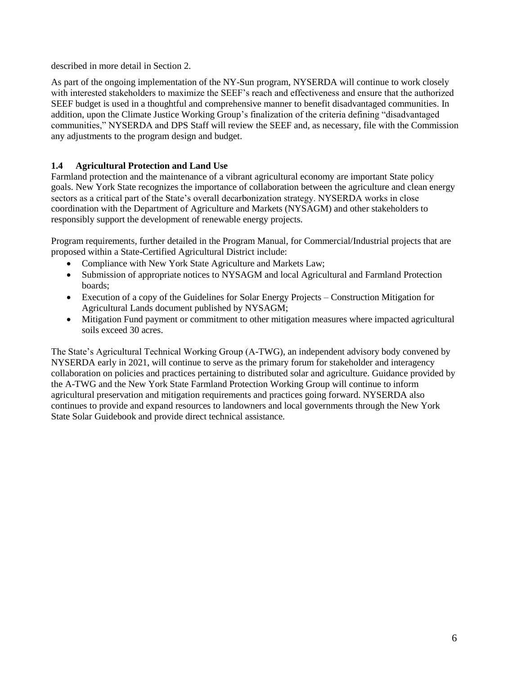described in more detail in Section 2.

As part of the ongoing implementation of the NY-Sun program, NYSERDA will continue to work closely with interested stakeholders to maximize the SEEF's reach and effectiveness and ensure that the authorized SEEF budget is used in a thoughtful and comprehensive manner to benefit disadvantaged communities. In addition, upon the Climate Justice Working Group's finalization of the criteria defining "disadvantaged communities," NYSERDA and DPS Staff will review the SEEF and, as necessary, file with the Commission any adjustments to the program design and budget.

## <span id="page-5-0"></span>**1.4 Agricultural Protection and Land Use**

Farmland protection and the maintenance of a vibrant agricultural economy are important State policy goals. New York State recognizes the importance of collaboration between the agriculture and clean energy sectors as a critical part of the State's overall decarbonization strategy. NYSERDA works in close coordination with the Department of Agriculture and Markets (NYSAGM) and other stakeholders to responsibly support the development of renewable energy projects.

Program requirements, further detailed in the Program Manual, for Commercial/Industrial projects that are proposed within a State-Certified Agricultural District include:

- Compliance with New York State Agriculture and Markets Law;
- Submission of appropriate notices to NYSAGM and local Agricultural and Farmland Protection boards;
- Execution of a copy of the Guidelines for Solar Energy Projects Construction Mitigation for Agricultural Lands document published by NYSAGM;
- Mitigation Fund payment or commitment to other mitigation measures where impacted agricultural soils exceed 30 acres.

The State's Agricultural Technical Working Group (A-TWG), an independent advisory body convened by NYSERDA early in 2021, will continue to serve as the primary forum for stakeholder and interagency collaboration on policies and practices pertaining to distributed solar and agriculture. Guidance provided by the A-TWG and the New York State Farmland Protection Working Group will continue to inform agricultural preservation and mitigation requirements and practices going forward. NYSERDA also continues to provide and expand resources to landowners and local governments through the New York State Solar Guidebook and provide direct technical assistance.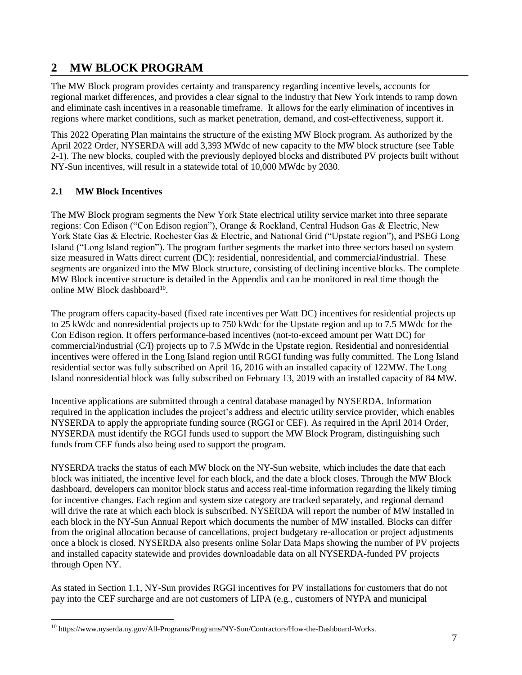## <span id="page-6-0"></span>**2 MW BLOCK PROGRAM**

The MW Block program provides certainty and transparency regarding incentive levels, accounts for regional market differences, and provides a clear signal to the industry that New York intends to ramp down and eliminate cash incentives in a reasonable timeframe. It allows for the early elimination of incentives in regions where market conditions, such as market penetration, demand, and cost-effectiveness, support it.

This 2022 Operating Plan maintains the structure of the existing MW Block program. As authorized by the April 2022 Order, NYSERDA will add 3,393 MWdc of new capacity to the MW block structure (see Table 2-1). The new blocks, coupled with the previously deployed blocks and distributed PV projects built without NY-Sun incentives, will result in a statewide total of 10,000 MWdc by 2030.

## <span id="page-6-1"></span>**2.1 MW Block Incentives**

 $\overline{a}$ 

The MW Block program segments the New York State electrical utility service market into three separate regions: Con Edison ("Con Edison region"), Orange & Rockland, Central Hudson Gas & Electric, New York State Gas & Electric, Rochester Gas & Electric, and National Grid ("Upstate region"), and PSEG Long Island ("Long Island region"). The program further segments the market into three sectors based on system size measured in Watts direct current (DC): residential, nonresidential, and commercial/industrial. These segments are organized into the MW Block structure, consisting of declining incentive blocks. The complete MW Block incentive structure is detailed in the Appendix and can be monitored in real time though the online MW Block dashboard<sup>10</sup>.

The program offers capacity-based (fixed rate incentives per Watt DC) incentives for residential projects up to 25 kWdc and nonresidential projects up to 750 kWdc for the Upstate region and up to 7.5 MWdc for the Con Edison region. It offers performance-based incentives (not-to-exceed amount per Watt DC) for commercial/industrial (C/I) projects up to 7.5 MWdc in the Upstate region. Residential and nonresidential incentives were offered in the Long Island region until RGGI funding was fully committed. The Long Island residential sector was fully subscribed on April 16, 2016 with an installed capacity of 122MW. The Long Island nonresidential block was fully subscribed on February 13, 2019 with an installed capacity of 84 MW.

Incentive applications are submitted through a central database managed by NYSERDA. Information required in the application includes the project's address and electric utility service provider, which enables NYSERDA to apply the appropriate funding source (RGGI or CEF). As required in the April 2014 Order, NYSERDA must identify the RGGI funds used to support the MW Block Program, distinguishing such funds from CEF funds also being used to support the program.

NYSERDA tracks the status of each MW block on the NY-Sun website, which includes the date that each block was initiated, the incentive level for each block, and the date a block closes. Through the MW Block dashboard, developers can monitor block status and access real-time information regarding the likely timing for incentive changes. Each region and system size category are tracked separately, and regional demand will drive the rate at which each block is subscribed. NYSERDA will report the number of MW installed in each block in the NY-Sun Annual Report which documents the number of MW installed. Blocks can differ from the original allocation because of cancellations, project budgetary re-allocation or project adjustments once a block is closed. NYSERDA also presents online Solar Data Maps showing the number of PV projects and installed capacity statewide and provides downloadable data on all NYSERDA-funded PV projects through Open NY.

As stated in Section 1.1, NY-Sun provides RGGI incentives for PV installations for customers that do not pay into the CEF surcharge and are not customers of LIPA (e.g., customers of NYPA and municipal

 $^{10}$ https://www.nyserda.ny.gov/All-Programs/Programs/NY-Sun/Contractors/How-the-Dashboard-Works.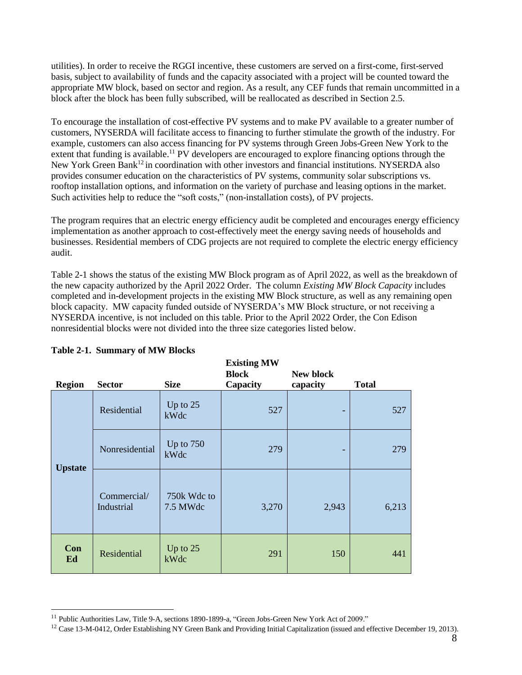utilities). In order to receive the RGGI incentive, these customers are served on a first-come, first-served basis, subject to availability of funds and the capacity associated with a project will be counted toward the appropriate MW block, based on sector and region. As a result, any CEF funds that remain uncommitted in a block after the block has been fully subscribed, will be reallocated as described in Section 2.5.

To encourage the installation of cost-effective PV systems and to make PV available to a greater number of customers, NYSERDA will facilitate access to financing to further stimulate the growth of the industry. For example, customers can also access financing for PV systems through Green Jobs-Green New York to the extent that funding is available.<sup>11</sup> PV developers are encouraged to explore financing options through the New York Green Bank<sup>12</sup> in coordination with other investors and financial institutions. NYSERDA also provides consumer education on the characteristics of PV systems, community solar subscriptions vs. rooftop installation options, and information on the variety of purchase and leasing options in the market. Such activities help to reduce the "soft costs," (non-installation costs), of PV projects.

The program requires that an electric energy efficiency audit be completed and encourages energy efficiency implementation as another approach to cost-effectively meet the energy saving needs of households and businesses. Residential members of CDG projects are not required to complete the electric energy efficiency audit.

Table 2-1 shows the status of the existing MW Block program as of April 2022, as well as the breakdown of the new capacity authorized by the April 2022 Order. The column *Existing MW Block Capacity* includes completed and in-development projects in the existing MW Block structure, as well as any remaining open block capacity. MW capacity funded outside of NYSERDA's MW Block structure, or not receiving a NYSERDA incentive, is not included on this table. Prior to the April 2022 Order, the Con Edison nonresidential blocks were not divided into the three size categories listed below.

| <b>Region</b>  | <b>Sector</b>             | <b>Size</b>             | <b>Existing MW</b><br><b>Block</b><br>Capacity | New block<br>capacity | <b>Total</b> |
|----------------|---------------------------|-------------------------|------------------------------------------------|-----------------------|--------------|
|                | Residential               | Up to 25<br>kWdc        | 527                                            |                       | 527          |
| <b>Upstate</b> | Nonresidential            | Up to $750$<br>kWdc     | 279                                            |                       | 279          |
|                | Commercial/<br>Industrial | 750k Wdc to<br>7.5 MWdc | 3,270                                          | 2,943                 | 6,213        |
| Con<br>Ed      | Residential               | Up to 25<br>kWdc        | 291                                            | 150                   | 441          |

l

<sup>&</sup>lt;sup>11</sup> Public Authorities Law, Title 9-A, sections 1890-1899-a, "Green Jobs-Green New York Act of 2009."

<sup>&</sup>lt;sup>12</sup> Case 13-M-0412, Order Establishing NY Green Bank and Providing Initial Capitalization (issued and effective December 19, 2013).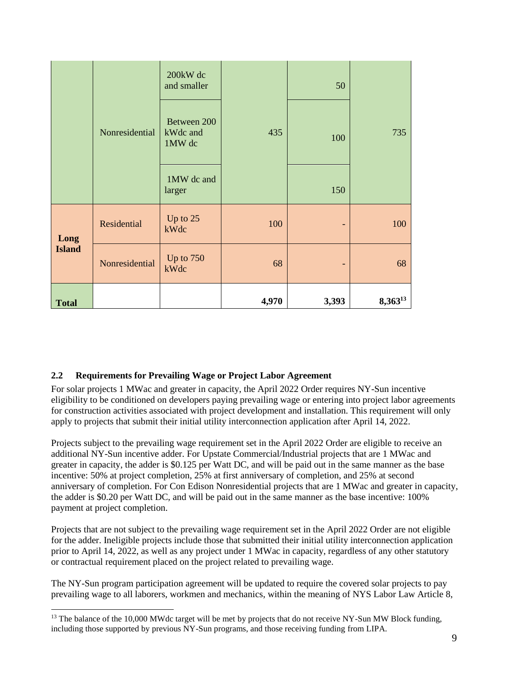|               | Nonresidential | 200kW dc<br>and smaller<br>Between 200<br>kWdc and<br>1MW dc | 50<br>435<br>100 |                   | 735          |  |
|---------------|----------------|--------------------------------------------------------------|------------------|-------------------|--------------|--|
|               |                | 1MW dc and<br>larger                                         |                  | 150               |              |  |
| Long          | Residential    | Up to 25<br>kWdc                                             | 100              | $\qquad \qquad -$ | 100          |  |
| <b>Island</b> | Nonresidential | Up to 750<br>kWdc                                            | 68               | ٠                 | 68           |  |
| <b>Total</b>  |                |                                                              | 4,970            | 3,393             | $8,363^{13}$ |  |

## <span id="page-8-0"></span>**2.2 Requirements for Prevailing Wage or Project Labor Agreement**

l

For solar projects 1 MWac and greater in capacity, the April 2022 Order requires NY-Sun incentive eligibility to be conditioned on developers paying prevailing wage or entering into project labor agreements for construction activities associated with project development and installation. This requirement will only apply to projects that submit their initial utility interconnection application after April 14, 2022.

Projects subject to the prevailing wage requirement set in the April 2022 Order are eligible to receive an additional NY-Sun incentive adder. For Upstate Commercial/Industrial projects that are 1 MWac and greater in capacity, the adder is \$0.125 per Watt DC, and will be paid out in the same manner as the base incentive: 50% at project completion, 25% at first anniversary of completion, and 25% at second anniversary of completion. For Con Edison Nonresidential projects that are 1 MWac and greater in capacity, the adder is \$0.20 per Watt DC, and will be paid out in the same manner as the base incentive: 100% payment at project completion.

Projects that are not subject to the prevailing wage requirement set in the April 2022 Order are not eligible for the adder. Ineligible projects include those that submitted their initial utility interconnection application prior to April 14, 2022, as well as any project under 1 MWac in capacity, regardless of any other statutory or contractual requirement placed on the project related to prevailing wage.

The NY-Sun program participation agreement will be updated to require the covered solar projects to pay prevailing wage to all laborers, workmen and mechanics, within the meaning of NYS Labor Law Article 8,

<sup>&</sup>lt;sup>13</sup> The balance of the 10,000 MWdc target will be met by projects that do not receive NY-Sun MW Block funding, including those supported by previous NY-Sun programs, and those receiving funding from LIPA.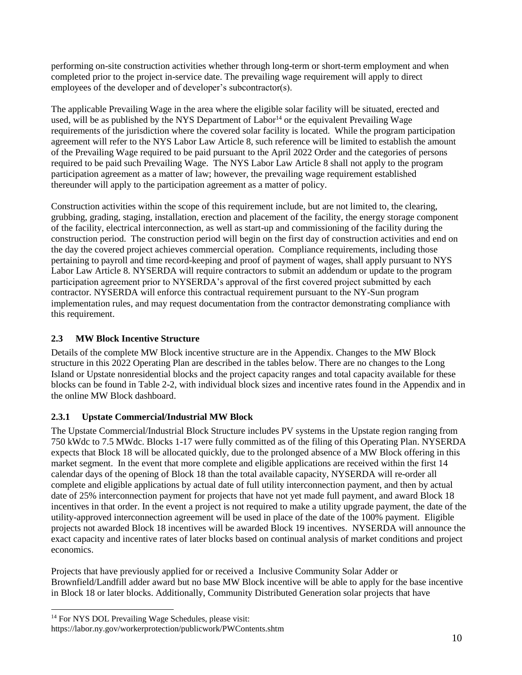performing on-site construction activities whether through long-term or short-term employment and when completed prior to the project in-service date. The prevailing wage requirement will apply to direct employees of the developer and of developer's subcontractor(s).

The applicable Prevailing Wage in the area where the eligible solar facility will be situated, erected and used, will be as published by the NYS Department of  $Labor<sup>14</sup>$  or the equivalent Prevailing Wage requirements of the jurisdiction where the covered solar facility is located. While the program participation agreement will refer to the NYS Labor Law Article 8, such reference will be limited to establish the amount of the Prevailing Wage required to be paid pursuant to the April 2022 Order and the categories of persons required to be paid such Prevailing Wage. The NYS Labor Law Article 8 shall not apply to the program participation agreement as a matter of law; however, the prevailing wage requirement established thereunder will apply to the participation agreement as a matter of policy.

Construction activities within the scope of this requirement include, but are not limited to, the clearing, grubbing, grading, staging, installation, erection and placement of the facility, the energy storage component of the facility, electrical interconnection, as well as start-up and commissioning of the facility during the construction period. The construction period will begin on the first day of construction activities and end on the day the covered project achieves commercial operation. Compliance requirements, including those pertaining to payroll and time record-keeping and proof of payment of wages, shall apply pursuant to NYS Labor Law Article 8. NYSERDA will require contractors to submit an addendum or update to the program participation agreement prior to NYSERDA's approval of the first covered project submitted by each contractor. NYSERDA will enforce this contractual requirement pursuant to the NY-Sun program implementation rules, and may request documentation from the contractor demonstrating compliance with this requirement.

## <span id="page-9-0"></span>**2.3 MW Block Incentive Structure**

Details of the complete MW Block incentive structure are in the Appendix. Changes to the MW Block structure in this 2022 Operating Plan are described in the tables below. There are no changes to the Long Island or Upstate nonresidential blocks and the project capacity ranges and total capacity available for these blocks can be found in Table 2-2, with individual block sizes and incentive rates found in the Appendix and in the online MW Block dashboard.

## <span id="page-9-1"></span>**2.3.1 Upstate Commercial/Industrial MW Block**

The Upstate Commercial/Industrial Block Structure includes PV systems in the Upstate region ranging from 750 kWdc to 7.5 MWdc. Blocks 1-17 were fully committed as of the filing of this Operating Plan. NYSERDA expects that Block 18 will be allocated quickly, due to the prolonged absence of a MW Block offering in this market segment. In the event that more complete and eligible applications are received within the first 14 calendar days of the opening of Block 18 than the total available capacity, NYSERDA will re-order all complete and eligible applications by actual date of full utility interconnection payment, and then by actual date of 25% interconnection payment for projects that have not yet made full payment, and award Block 18 incentives in that order. In the event a project is not required to make a utility upgrade payment, the date of the utility-approved interconnection agreement will be used in place of the date of the 100% payment. Eligible projects not awarded Block 18 incentives will be awarded Block 19 incentives. NYSERDA will announce the exact capacity and incentive rates of later blocks based on continual analysis of market conditions and project economics.

Projects that have previously applied for or received a Inclusive Community Solar Adder or Brownfield/Landfill adder award but no base MW Block incentive will be able to apply for the base incentive in Block 18 or later blocks. Additionally, Community Distributed Generation solar projects that have

l

<sup>14</sup> For NYS DOL Prevailing Wage Schedules, please visit: https://labor.ny.gov/workerprotection/publicwork/PWContents.shtm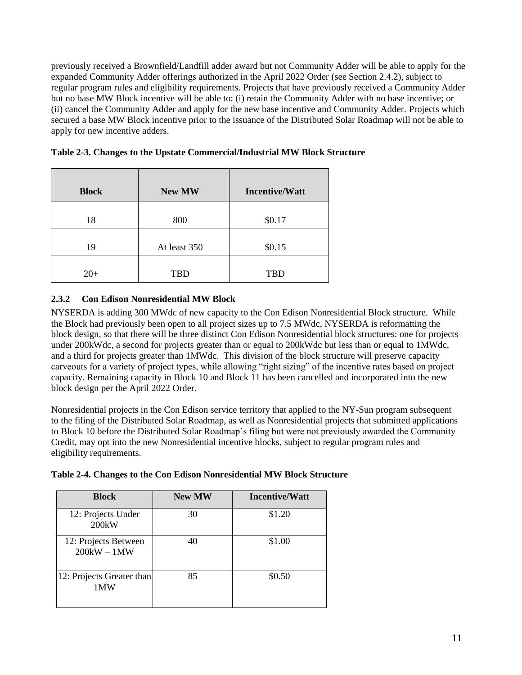previously received a Brownfield/Landfill adder award but not Community Adder will be able to apply for the expanded Community Adder offerings authorized in the April 2022 Order (see Section 2.4.2), subject to regular program rules and eligibility requirements. Projects that have previously received a Community Adder but no base MW Block incentive will be able to: (i) retain the Community Adder with no base incentive; or (ii) cancel the Community Adder and apply for the new base incentive and Community Adder. Projects which secured a base MW Block incentive prior to the issuance of the Distributed Solar Roadmap will not be able to apply for new incentive adders.

| <b>Block</b> | <b>New MW</b> | <b>Incentive/Watt</b> |
|--------------|---------------|-----------------------|
| 18           | 800           | \$0.17                |
| 19           | At least 350  | \$0.15                |
| $20+$        | <b>TBD</b>    | <b>TBD</b>            |

| Table 2-3. Changes to the Upstate Commercial/Industrial MW Block Structure |  |  |
|----------------------------------------------------------------------------|--|--|
|----------------------------------------------------------------------------|--|--|

## <span id="page-10-0"></span>**2.3.2 Con Edison Nonresidential MW Block**

NYSERDA is adding 300 MWdc of new capacity to the Con Edison Nonresidential Block structure. While the Block had previously been open to all project sizes up to 7.5 MWdc, NYSERDA is reformatting the block design, so that there will be three distinct Con Edison Nonresidential block structures: one for projects under 200kWdc, a second for projects greater than or equal to 200kWdc but less than or equal to 1MWdc, and a third for projects greater than 1MWdc. This division of the block structure will preserve capacity carveouts for a variety of project types, while allowing "right sizing" of the incentive rates based on project capacity. Remaining capacity in Block 10 and Block 11 has been cancelled and incorporated into the new block design per the April 2022 Order.

Nonresidential projects in the Con Edison service territory that applied to the NY-Sun program subsequent to the filing of the Distributed Solar Roadmap, as well as Nonresidential projects that submitted applications to Block 10 before the Distributed Solar Roadmap's filing but were not previously awarded the Community Credit, may opt into the new Nonresidential incentive blocks, subject to regular program rules and eligibility requirements.

| <b>Block</b>                          | <b>New MW</b> | <b>Incentive/Watt</b> |
|---------------------------------------|---------------|-----------------------|
| 12: Projects Under<br>200kW           | 30            | \$1.20                |
| 12: Projects Between<br>$200kW - 1MW$ | 40            | \$1.00                |
| 12: Projects Greater than<br>1MW      | 85            | \$0.50                |

|  | Table 2-4. Changes to the Con Edison Nonresidential MW Block Structure |  |
|--|------------------------------------------------------------------------|--|
|  |                                                                        |  |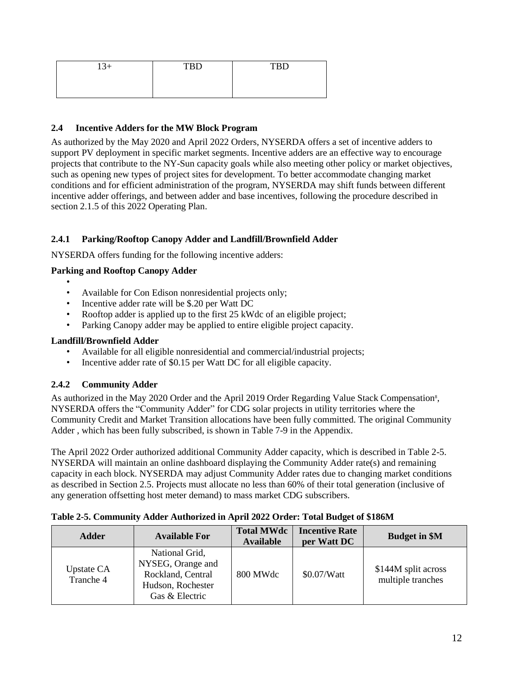| $13+$ | <b>TRD</b><br>ע ט | <b>TRD</b><br>ᆂᅜ |
|-------|-------------------|------------------|
|       |                   |                  |
|       |                   |                  |

#### <span id="page-11-0"></span>**2.4 Incentive Adders for the MW Block Program**

As authorized by the May 2020 and April 2022 Orders, NYSERDA offers a set of incentive adders to support PV deployment in specific market segments. Incentive adders are an effective way to encourage projects that contribute to the NY-Sun capacity goals while also meeting other policy or market objectives, such as opening new types of project sites for development. To better accommodate changing market conditions and for efficient administration of the program, NYSERDA may shift funds between different incentive adder offerings, and between adder and base incentives, following the procedure described in section 2.1.5 of this 2022 Operating Plan.

## <span id="page-11-1"></span>**2.4.1 Parking/Rooftop Canopy Adder and Landfill/Brownfield Adder**

NYSERDA offers funding for the following incentive adders:

#### **Parking and Rooftop Canopy Adder**

- •
- Available for Con Edison nonresidential projects only;
- Incentive adder rate will be \$.20 per Watt DC
- Rooftop adder is applied up to the first 25 kWdc of an eligible project;
- Parking Canopy adder may be applied to entire eligible project capacity.

#### **Landfill/Brownfield Adder**

- Available for all eligible nonresidential and commercial/industrial projects;
- Incentive adder rate of \$0.15 per Watt DC for all eligible capacity.

## <span id="page-11-2"></span>**2.4.2 Community Adder**

As authorized in the May 2020 Order and the April 2019 Order Regarding Value Stack Compensation<sup>8</sup>, NYSERDA offers the "Community Adder" for CDG solar projects in utility territories where the Community Credit and Market Transition allocations have been fully committed. The original Community Adder , which has been fully subscribed, is shown in Table 7-9 in the Appendix.

The April 2022 Order authorized additional Community Adder capacity, which is described in Table 2-5. NYSERDA will maintain an online dashboard displaying the Community Adder rate(s) and remaining capacity in each block. NYSERDA may adjust Community Adder rates due to changing market conditions as described in Section 2.5. Projects must allocate no less than 60% of their total generation (inclusive of any generation offsetting host meter demand) to mass market CDG subscribers.

| <b>Adder</b>                   | <b>Available For</b>                                                                            | <b>Total MWdc</b><br><b>Available</b> | <b>Incentive Rate</b><br>per Watt DC | <b>Budget in \$M</b>                     |
|--------------------------------|-------------------------------------------------------------------------------------------------|---------------------------------------|--------------------------------------|------------------------------------------|
| <b>Upstate CA</b><br>Tranche 4 | National Grid,<br>NYSEG, Orange and<br>Rockland, Central<br>Hudson, Rochester<br>Gas & Electric | 800 MWdc                              | \$0.07/Watt                          | \$144M split across<br>multiple tranches |

#### **Table 2-5. Community Adder Authorized in April 2022 Order: Total Budget of \$186M**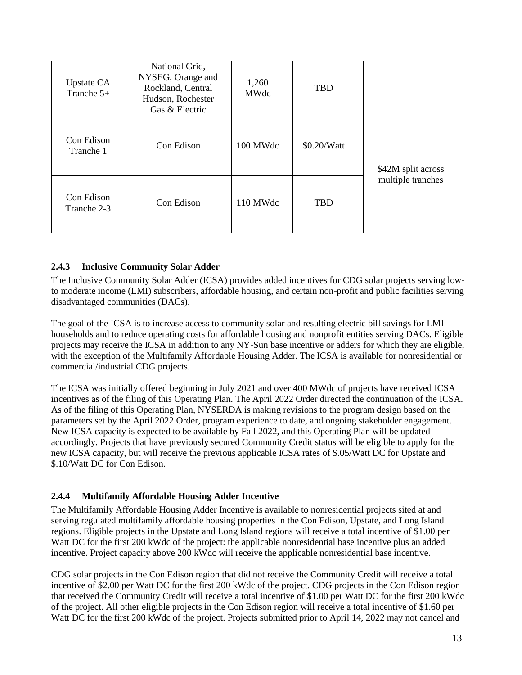| <b>Upstate CA</b><br>Tranche $5+$ | National Grid,<br>NYSEG, Orange and<br>Rockland, Central<br>Hudson, Rochester<br>Gas & Electric | 1,260<br>MWdc | <b>TBD</b>  |                    |  |
|-----------------------------------|-------------------------------------------------------------------------------------------------|---------------|-------------|--------------------|--|
| Con Edison<br>Tranche 1           | Con Edison                                                                                      | 100 MWdc      | \$0.20/Watt | \$42M split across |  |
| Con Edison<br>Tranche 2-3         | Con Edison                                                                                      | 110 MWdc      | <b>TBD</b>  | multiple tranches  |  |

## <span id="page-12-0"></span>**2.4.3 Inclusive Community Solar Adder**

The Inclusive Community Solar Adder (ICSA) provides added incentives for CDG solar projects serving lowto moderate income (LMI) subscribers, affordable housing, and certain non-profit and public facilities serving disadvantaged communities (DACs).

The goal of the ICSA is to increase access to community solar and resulting electric bill savings for LMI households and to reduce operating costs for affordable housing and nonprofit entities serving DACs. Eligible projects may receive the ICSA in addition to any NY-Sun base incentive or adders for which they are eligible, with the exception of the Multifamily Affordable Housing Adder. The ICSA is available for nonresidential or commercial/industrial CDG projects.

The ICSA was initially offered beginning in July 2021 and over 400 MWdc of projects have received ICSA incentives as of the filing of this Operating Plan. The April 2022 Order directed the continuation of the ICSA. As of the filing of this Operating Plan, NYSERDA is making revisions to the program design based on the parameters set by the April 2022 Order, program experience to date, and ongoing stakeholder engagement. New ICSA capacity is expected to be available by Fall 2022, and this Operating Plan will be updated accordingly. Projects that have previously secured Community Credit status will be eligible to apply for the new ICSA capacity, but will receive the previous applicable ICSA rates of \$.05/Watt DC for Upstate and \$.10/Watt DC for Con Edison.

## <span id="page-12-1"></span>**2.4.4 Multifamily Affordable Housing Adder Incentive**

The Multifamily Affordable Housing Adder Incentive is available to nonresidential projects sited at and serving regulated multifamily affordable housing properties in the Con Edison, Upstate, and Long Island regions. Eligible projects in the Upstate and Long Island regions will receive a total incentive of \$1.00 per Watt DC for the first 200 kWdc of the project: the applicable nonresidential base incentive plus an added incentive. Project capacity above 200 kWdc will receive the applicable nonresidential base incentive.

CDG solar projects in the Con Edison region that did not receive the Community Credit will receive a total incentive of \$2.00 per Watt DC for the first 200 kWdc of the project. CDG projects in the Con Edison region that received the Community Credit will receive a total incentive of \$1.00 per Watt DC for the first 200 kWdc of the project. All other eligible projects in the Con Edison region will receive a total incentive of \$1.60 per Watt DC for the first 200 kWdc of the project. Projects submitted prior to April 14, 2022 may not cancel and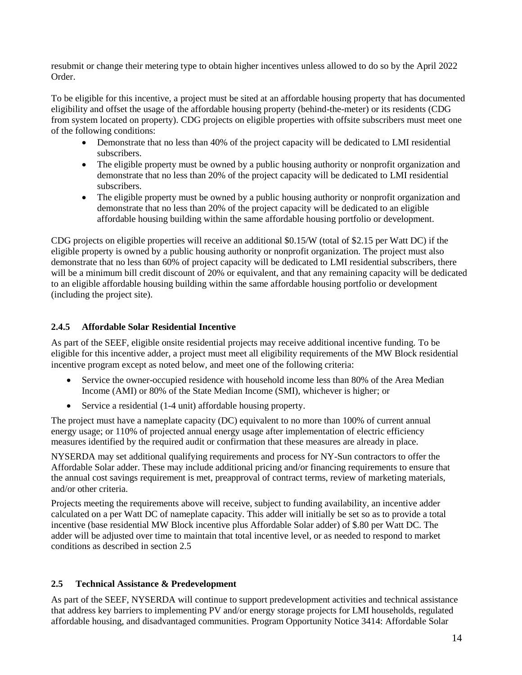resubmit or change their metering type to obtain higher incentives unless allowed to do so by the April 2022 Order.

To be eligible for this incentive, a project must be sited at an affordable housing property that has documented eligibility and offset the usage of the affordable housing property (behind-the-meter) or its residents (CDG from system located on property). CDG projects on eligible properties with offsite subscribers must meet one of the following conditions:

- Demonstrate that no less than 40% of the project capacity will be dedicated to LMI residential subscribers.
- The eligible property must be owned by a public housing authority or nonprofit organization and demonstrate that no less than 20% of the project capacity will be dedicated to LMI residential subscribers.
- The eligible property must be owned by a public housing authority or nonprofit organization and demonstrate that no less than 20% of the project capacity will be dedicated to an eligible affordable housing building within the same affordable housing portfolio or development.

CDG projects on eligible properties will receive an additional \$0.15/W (total of \$2.15 per Watt DC) if the eligible property is owned by a public housing authority or nonprofit organization. The project must also demonstrate that no less than 60% of project capacity will be dedicated to LMI residential subscribers, there will be a minimum bill credit discount of 20% or equivalent, and that any remaining capacity will be dedicated to an eligible affordable housing building within the same affordable housing portfolio or development (including the project site).

## <span id="page-13-0"></span>**2.4.5 Affordable Solar Residential Incentive**

As part of the SEEF, eligible onsite residential projects may receive additional incentive funding. To be eligible for this incentive adder, a project must meet all eligibility requirements of the MW Block residential incentive program except as noted below, and meet one of the following criteria:

- Service the owner-occupied residence with household income less than 80% of the Area Median Income (AMI) or 80% of the State Median Income (SMI), whichever is higher; or
- Service a residential (1-4 unit) affordable housing property.

The project must have a nameplate capacity (DC) equivalent to no more than 100% of current annual energy usage; or 110% of projected annual energy usage after implementation of electric efficiency measures identified by the required audit or confirmation that these measures are already in place.

NYSERDA may set additional qualifying requirements and process for NY-Sun contractors to offer the Affordable Solar adder. These may include additional pricing and/or financing requirements to ensure that the annual cost savings requirement is met, preapproval of contract terms, review of marketing materials, and/or other criteria.

Projects meeting the requirements above will receive, subject to funding availability, an incentive adder calculated on a per Watt DC of nameplate capacity. This adder will initially be set so as to provide a total incentive (base residential MW Block incentive plus Affordable Solar adder) of \$.80 per Watt DC. The adder will be adjusted over time to maintain that total incentive level, or as needed to respond to market conditions as described in section 2.5

## <span id="page-13-1"></span>**2.5 Technical Assistance & Predevelopment**

As part of the SEEF, NYSERDA will continue to support predevelopment activities and technical assistance that address key barriers to implementing PV and/or energy storage projects for LMI households, regulated affordable housing, and disadvantaged communities. Program Opportunity Notice 3414: Affordable Solar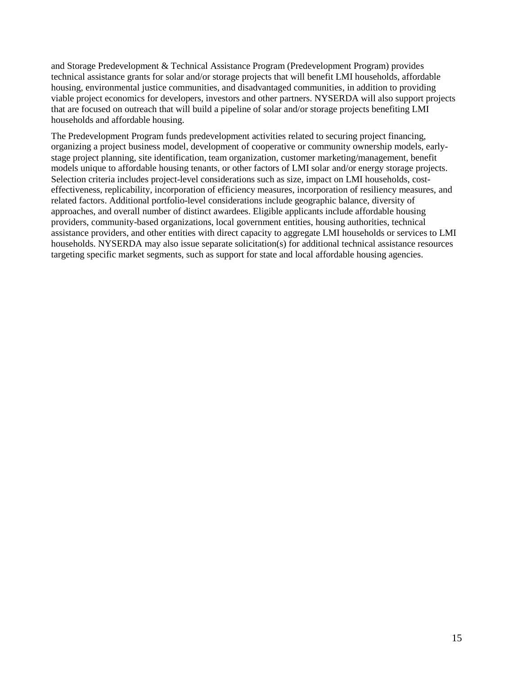and Storage Predevelopment & Technical Assistance Program (Predevelopment Program) provides technical assistance grants for solar and/or storage projects that will benefit LMI households, affordable housing, environmental justice communities, and disadvantaged communities, in addition to providing viable project economics for developers, investors and other partners. NYSERDA will also support projects that are focused on outreach that will build a pipeline of solar and/or storage projects benefiting LMI households and affordable housing.

The Predevelopment Program funds predevelopment activities related to securing project financing, organizing a project business model, development of cooperative or community ownership models, earlystage project planning, site identification, team organization, customer marketing/management, benefit models unique to affordable housing tenants, or other factors of LMI solar and/or energy storage projects. Selection criteria includes project-level considerations such as size, impact on LMI households, costeffectiveness, replicability, incorporation of efficiency measures, incorporation of resiliency measures, and related factors. Additional portfolio-level considerations include geographic balance, diversity of approaches, and overall number of distinct awardees. Eligible applicants include affordable housing providers, community-based organizations, local government entities, housing authorities, technical assistance providers, and other entities with direct capacity to aggregate LMI households or services to LMI households. NYSERDA may also issue separate solicitation(s) for additional technical assistance resources targeting specific market segments, such as support for state and local affordable housing agencies.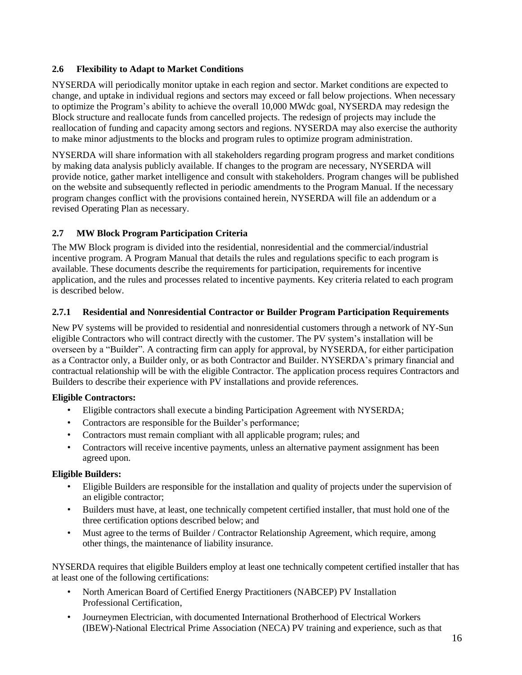## <span id="page-15-0"></span>**2.6 Flexibility to Adapt to Market Conditions**

NYSERDA will periodically monitor uptake in each region and sector. Market conditions are expected to change, and uptake in individual regions and sectors may exceed or fall below projections. When necessary to optimize the Program's ability to achieve the overall 10,000 MWdc goal, NYSERDA may redesign the Block structure and reallocate funds from cancelled projects. The redesign of projects may include the reallocation of funding and capacity among sectors and regions. NYSERDA may also exercise the authority to make minor adjustments to the blocks and program rules to optimize program administration.

NYSERDA will share information with all stakeholders regarding program progress and market conditions by making data analysis publicly available. If changes to the program are necessary, NYSERDA will provide notice, gather market intelligence and consult with stakeholders. Program changes will be published on the website and subsequently reflected in periodic amendments to the Program Manual. If the necessary program changes conflict with the provisions contained herein, NYSERDA will file an addendum or a revised Operating Plan as necessary.

## <span id="page-15-1"></span>**2.7 MW Block Program Participation Criteria**

The MW Block program is divided into the residential, nonresidential and the commercial/industrial incentive program. A Program Manual that details the rules and regulations specific to each program is available. These documents describe the requirements for participation, requirements for incentive application, and the rules and processes related to incentive payments. Key criteria related to each program is described below.

#### <span id="page-15-2"></span>**2.7.1 Residential and Nonresidential Contractor or Builder Program Participation Requirements**

New PV systems will be provided to residential and nonresidential customers through a network of NY-Sun eligible Contractors who will contract directly with the customer. The PV system's installation will be overseen by a "Builder". A contracting firm can apply for approval, by NYSERDA, for either participation as a Contractor only, a Builder only, or as both Contractor and Builder. NYSERDA's primary financial and contractual relationship will be with the eligible Contractor. The application process requires Contractors and Builders to describe their experience with PV installations and provide references.

#### **Eligible Contractors:**

- Eligible contractors shall execute a binding Participation Agreement with NYSERDA;
- Contractors are responsible for the Builder's performance;
- Contractors must remain compliant with all applicable program; rules; and
- Contractors will receive incentive payments, unless an alternative payment assignment has been agreed upon.

#### **Eligible Builders:**

- Eligible Builders are responsible for the installation and quality of projects under the supervision of an eligible contractor;
- Builders must have, at least, one technically competent certified installer, that must hold one of the three certification options described below; and
- Must agree to the terms of Builder / Contractor Relationship Agreement, which require, among other things, the maintenance of liability insurance.

NYSERDA requires that eligible Builders employ at least one technically competent certified installer that has at least one of the following certifications:

- North American Board of Certified Energy Practitioners (NABCEP) PV Installation Professional Certification,
- Journeymen Electrician, with documented International Brotherhood of Electrical Workers (IBEW)-National Electrical Prime Association (NECA) PV training and experience, such as that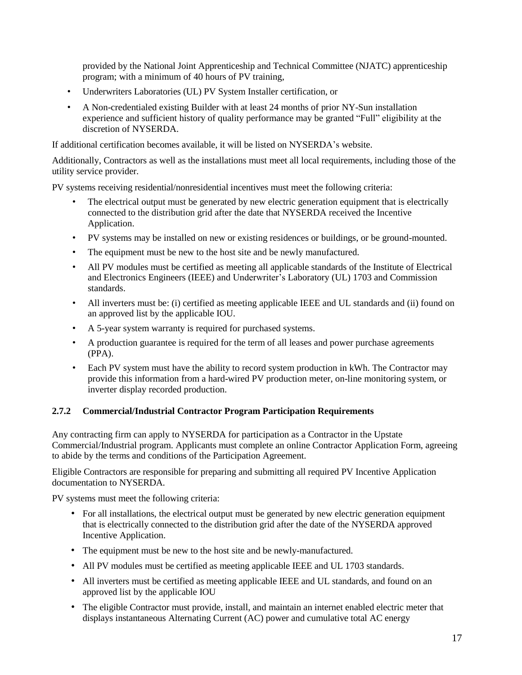provided by the National Joint Apprenticeship and Technical Committee (NJATC) apprenticeship program; with a minimum of 40 hours of PV training,

- Underwriters Laboratories (UL) PV System Installer certification, or
- A Non-credentialed existing Builder with at least 24 months of prior NY-Sun installation experience and sufficient history of quality performance may be granted "Full" eligibility at the discretion of NYSERDA.

If additional certification becomes available, it will be listed on NYSERDA's website.

Additionally, Contractors as well as the installations must meet all local requirements, including those of the utility service provider.

PV systems receiving residential/nonresidential incentives must meet the following criteria:

- The electrical output must be generated by new electric generation equipment that is electrically connected to the distribution grid after the date that NYSERDA received the Incentive Application.
- PV systems may be installed on new or existing residences or buildings, or be ground-mounted.
- The equipment must be new to the host site and be newly manufactured.
- All PV modules must be certified as meeting all applicable standards of the Institute of Electrical and Electronics Engineers (IEEE) and Underwriter's Laboratory (UL) 1703 and Commission standards.
- All inverters must be: (i) certified as meeting applicable IEEE and UL standards and (ii) found on an approved list by the applicable IOU.
- A 5-year system warranty is required for purchased systems.
- A production guarantee is required for the term of all leases and power purchase agreements (PPA).
- Each PV system must have the ability to record system production in kWh. The Contractor may provide this information from a hard-wired PV production meter, on-line monitoring system, or inverter display recorded production.

#### <span id="page-16-0"></span>**2.7.2 Commercial/Industrial Contractor Program Participation Requirements**

Any contracting firm can apply to NYSERDA for participation as a Contractor in the Upstate Commercial/Industrial program. Applicants must complete an online Contractor Application Form, agreeing to abide by the terms and conditions of the Participation Agreement.

Eligible Contractors are responsible for preparing and submitting all required PV Incentive Application documentation to NYSERDA.

PV systems must meet the following criteria:

- For all installations, the electrical output must be generated by new electric generation equipment that is electrically connected to the distribution grid after the date of the NYSERDA approved Incentive Application.
- The equipment must be new to the host site and be newly-manufactured.
- All PV modules must be certified as meeting applicable IEEE and UL 1703 standards.
- All inverters must be certified as meeting applicable IEEE and UL standards, and found on an approved list by the applicable IOU
- The eligible Contractor must provide, install, and maintain an internet enabled electric meter that displays instantaneous Alternating Current (AC) power and cumulative total AC energy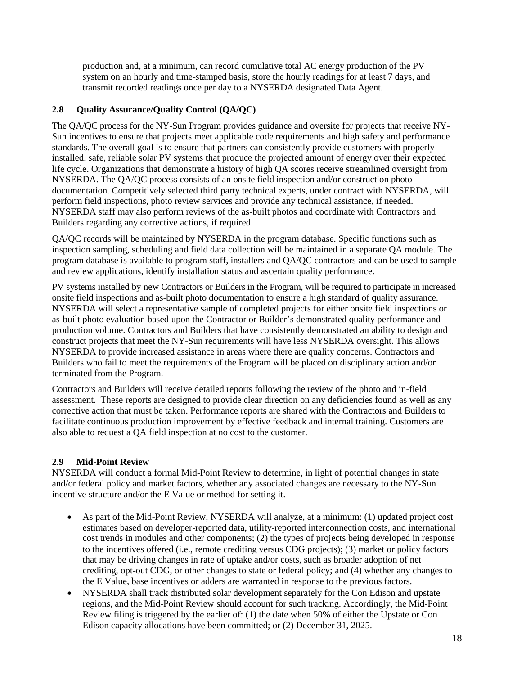production and, at a minimum, can record cumulative total AC energy production of the PV system on an hourly and time-stamped basis, store the hourly readings for at least 7 days, and transmit recorded readings once per day to a NYSERDA designated Data Agent.

## <span id="page-17-0"></span>**2.8 Quality Assurance/Quality Control (QA/QC)**

The QA/QC process for the NY-Sun Program provides guidance and oversite for projects that receive NY-Sun incentives to ensure that projects meet applicable code requirements and high safety and performance standards. The overall goal is to ensure that partners can consistently provide customers with properly installed, safe, reliable solar PV systems that produce the projected amount of energy over their expected life cycle. Organizations that demonstrate a history of high QA scores receive streamlined oversight from NYSERDA. The QA/QC process consists of an onsite field inspection and/or construction photo documentation. Competitively selected third party technical experts, under contract with NYSERDA, will perform field inspections, photo review services and provide any technical assistance, if needed. NYSERDA staff may also perform reviews of the as-built photos and coordinate with Contractors and Builders regarding any corrective actions, if required.

QA/QC records will be maintained by NYSERDA in the program database. Specific functions such as inspection sampling, scheduling and field data collection will be maintained in a separate QA module. The program database is available to program staff, installers and QA/QC contractors and can be used to sample and review applications, identify installation status and ascertain quality performance.

PV systems installed by new Contractors or Builders in the Program, will be required to participate in increased onsite field inspections and as-built photo documentation to ensure a high standard of quality assurance. NYSERDA will select a representative sample of completed projects for either onsite field inspections or as-built photo evaluation based upon the Contractor or Builder's demonstrated quality performance and production volume. Contractors and Builders that have consistently demonstrated an ability to design and construct projects that meet the NY-Sun requirements will have less NYSERDA oversight. This allows NYSERDA to provide increased assistance in areas where there are quality concerns. Contractors and Builders who fail to meet the requirements of the Program will be placed on disciplinary action and/or terminated from the Program.

Contractors and Builders will receive detailed reports following the review of the photo and in-field assessment. These reports are designed to provide clear direction on any deficiencies found as well as any corrective action that must be taken. Performance reports are shared with the Contractors and Builders to facilitate continuous production improvement by effective feedback and internal training. Customers are also able to request a QA field inspection at no cost to the customer.

## <span id="page-17-1"></span>**2.9 Mid-Point Review**

NYSERDA will conduct a formal Mid-Point Review to determine, in light of potential changes in state and/or federal policy and market factors, whether any associated changes are necessary to the NY-Sun incentive structure and/or the E Value or method for setting it.

- As part of the Mid-Point Review, NYSERDA will analyze, at a minimum: (1) updated project cost estimates based on developer-reported data, utility-reported interconnection costs, and international cost trends in modules and other components; (2) the types of projects being developed in response to the incentives offered (i.e., remote crediting versus CDG projects); (3) market or policy factors that may be driving changes in rate of uptake and/or costs, such as broader adoption of net crediting, opt-out CDG, or other changes to state or federal policy; and (4) whether any changes to the E Value, base incentives or adders are warranted in response to the previous factors.
- NYSERDA shall track distributed solar development separately for the Con Edison and upstate regions, and the Mid-Point Review should account for such tracking. Accordingly, the Mid-Point Review filing is triggered by the earlier of: (1) the date when 50% of either the Upstate or Con Edison capacity allocations have been committed; or (2) December 31, 2025.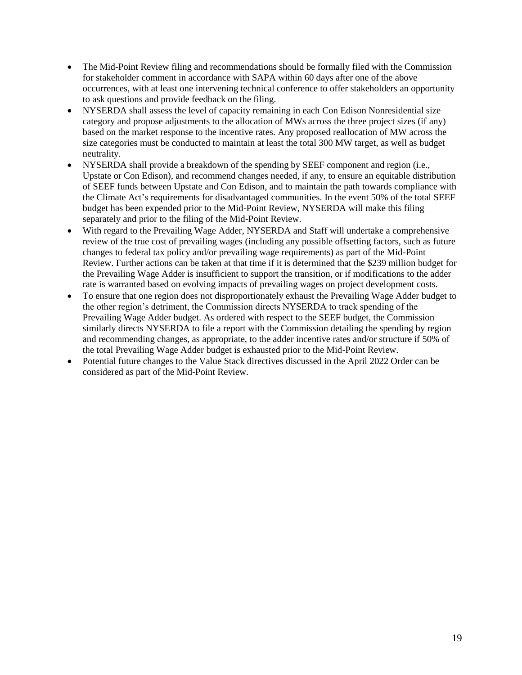- The Mid-Point Review filing and recommendations should be formally filed with the Commission for stakeholder comment in accordance with SAPA within 60 days after one of the above occurrences, with at least one intervening technical conference to offer stakeholders an opportunity to ask questions and provide feedback on the filing.
- NYSERDA shall assess the level of capacity remaining in each Con Edison Nonresidential size category and propose adjustments to the allocation of MWs across the three project sizes (if any) based on the market response to the incentive rates. Any proposed reallocation of MW across the size categories must be conducted to maintain at least the total 300 MW target, as well as budget neutrality.
- NYSERDA shall provide a breakdown of the spending by SEEF component and region (i.e., Upstate or Con Edison), and recommend changes needed, if any, to ensure an equitable distribution of SEEF funds between Upstate and Con Edison, and to maintain the path towards compliance with the Climate Act's requirements for disadvantaged communities. In the event 50% of the total SEEF budget has been expended prior to the Mid-Point Review, NYSERDA will make this filing separately and prior to the filing of the Mid-Point Review.
- With regard to the Prevailing Wage Adder, NYSERDA and Staff will undertake a comprehensive review of the true cost of prevailing wages (including any possible offsetting factors, such as future changes to federal tax policy and/or prevailing wage requirements) as part of the Mid-Point Review. Further actions can be taken at that time if it is determined that the \$239 million budget for the Prevailing Wage Adder is insufficient to support the transition, or if modifications to the adder rate is warranted based on evolving impacts of prevailing wages on project development costs.
- To ensure that one region does not disproportionately exhaust the Prevailing Wage Adder budget to the other region's detriment, the Commission directs NYSERDA to track spending of the Prevailing Wage Adder budget. As ordered with respect to the SEEF budget, the Commission similarly directs NYSERDA to file a report with the Commission detailing the spending by region and recommending changes, as appropriate, to the adder incentive rates and/or structure if 50% of the total Prevailing Wage Adder budget is exhausted prior to the Mid-Point Review.
- Potential future changes to the Value Stack directives discussed in the April 2022 Order can be considered as part of the Mid-Point Review.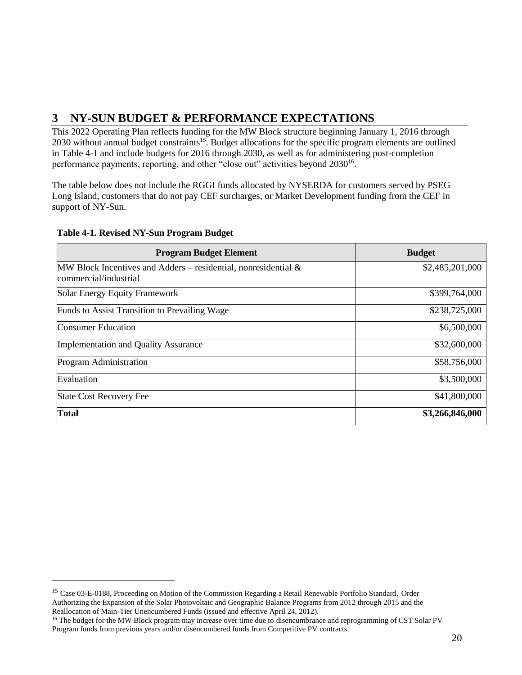## <span id="page-19-0"></span>**3 NY-SUN BUDGET & PERFORMANCE EXPECTATIONS**

This 2022 Operating Plan reflects funding for the MW Block structure beginning January 1, 2016 through 2030 without annual budget constraints<sup>15</sup>. Budget allocations for the specific program elements are outlined in Table 4-1 and include budgets for 2016 through 2030, as well as for administering post-completion performance payments, reporting, and other "close out" activities beyond 2030<sup>16</sup>.

The table below does not include the RGGI funds allocated by NYSERDA for customers served by PSEG Long Island, customers that do not pay CEF surcharges, or Market Development funding from the CEF in support of NY-Sun.

| <b>Program Budget Element</b>                                                              | <b>Budget</b>   |
|--------------------------------------------------------------------------------------------|-----------------|
| MW Block Incentives and Adders – residential, nonresidential $\&$<br>commercial/industrial | \$2,485,201,000 |
| Solar Energy Equity Framework                                                              | \$399,764,000   |
| Funds to Assist Transition to Prevailing Wage                                              | \$238,725,000   |
| <b>Consumer Education</b>                                                                  | \$6,500,000     |
| <b>Implementation and Quality Assurance</b>                                                | \$32,600,000    |
| Program Administration                                                                     | \$58,756,000    |
| Evaluation                                                                                 | \$3,500,000     |
| <b>State Cost Recovery Fee</b>                                                             | \$41,800,000    |
| Total                                                                                      | \$3,266,846,000 |

#### **Table 4-1. Revised NY-Sun Program Budget**

 $\overline{\phantom{a}}$ 

<sup>&</sup>lt;sup>15</sup> Case 03-E-0188, Proceeding on Motion of the Commission Regarding a Retail Renewable Portfolio Standard, Order Authorizing the Expansion of the Solar Photovoltaic and Geographic Balance Programs from 2012 through 2015 and the Reallocation of Main-Tier Unencumbered Funds (issued and effective April 24, 2012).

<sup>&</sup>lt;sup>16</sup> The budget for the MW Block program may increase over time due to disencumbrance and reprogramming of CST Solar PV Program funds from previous years and/or disencumbered funds from Competitive PV contracts.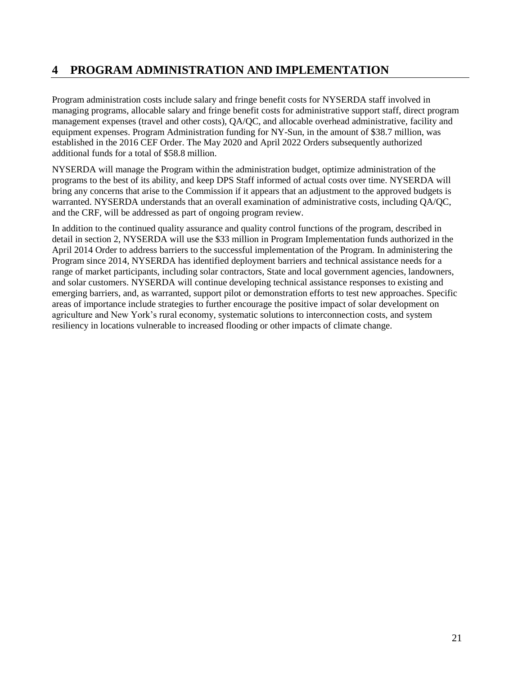## <span id="page-20-0"></span>**4 PROGRAM ADMINISTRATION AND IMPLEMENTATION**

Program administration costs include salary and fringe benefit costs for NYSERDA staff involved in managing programs, allocable salary and fringe benefit costs for administrative support staff, direct program management expenses (travel and other costs), QA/QC, and allocable overhead administrative, facility and equipment expenses. Program Administration funding for NY-Sun, in the amount of \$38.7 million, was established in the 2016 CEF Order. The May 2020 and April 2022 Orders subsequently authorized additional funds for a total of \$58.8 million.

NYSERDA will manage the Program within the administration budget, optimize administration of the programs to the best of its ability, and keep DPS Staff informed of actual costs over time. NYSERDA will bring any concerns that arise to the Commission if it appears that an adjustment to the approved budgets is warranted. NYSERDA understands that an overall examination of administrative costs, including QA/QC, and the CRF, will be addressed as part of ongoing program review.

In addition to the continued quality assurance and quality control functions of the program, described in detail in section 2, NYSERDA will use the \$33 million in Program Implementation funds authorized in the April 2014 Order to address barriers to the successful implementation of the Program. In administering the Program since 2014, NYSERDA has identified deployment barriers and technical assistance needs for a range of market participants, including solar contractors, State and local government agencies, landowners, and solar customers. NYSERDA will continue developing technical assistance responses to existing and emerging barriers, and, as warranted, support pilot or demonstration efforts to test new approaches. Specific areas of importance include strategies to further encourage the positive impact of solar development on agriculture and New York's rural economy, systematic solutions to interconnection costs, and system resiliency in locations vulnerable to increased flooding or other impacts of climate change.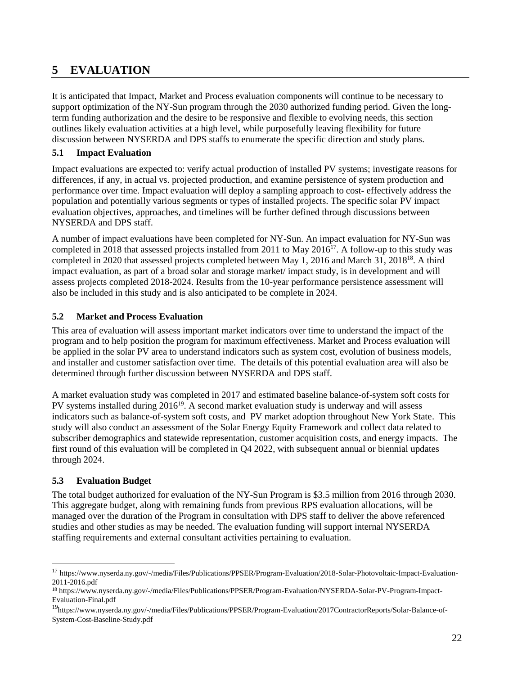## <span id="page-21-0"></span>**5 EVALUATION**

It is anticipated that Impact, Market and Process evaluation components will continue to be necessary to support optimization of the NY-Sun program through the 2030 authorized funding period. Given the longterm funding authorization and the desire to be responsive and flexible to evolving needs, this section outlines likely evaluation activities at a high level, while purposefully leaving flexibility for future discussion between NYSERDA and DPS staffs to enumerate the specific direction and study plans.

## <span id="page-21-1"></span>**5.1 Impact Evaluation**

Impact evaluations are expected to: verify actual production of installed PV systems; investigate reasons for differences, if any, in actual vs. projected production, and examine persistence of system production and performance over time. Impact evaluation will deploy a sampling approach to cost- effectively address the population and potentially various segments or types of installed projects. The specific solar PV impact evaluation objectives, approaches, and timelines will be further defined through discussions between NYSERDA and DPS staff.

A number of impact evaluations have been completed for NY-Sun. An impact evaluation for NY-Sun was completed in 2018 that assessed projects installed from 2011 to May  $2016^{17}$ . A follow-up to this study was completed in 2020 that assessed projects completed between May 1, 2016 and March 31, 2018<sup>18</sup>. A third impact evaluation, as part of a broad solar and storage market/ impact study, is in development and will assess projects completed 2018-2024. Results from the 10-year performance persistence assessment will also be included in this study and is also anticipated to be complete in 2024.

## <span id="page-21-2"></span>**5.2 Market and Process Evaluation**

This area of evaluation will assess important market indicators over time to understand the impact of the program and to help position the program for maximum effectiveness. Market and Process evaluation will be applied in the solar PV area to understand indicators such as system cost, evolution of business models, and installer and customer satisfaction over time. The details of this potential evaluation area will also be determined through further discussion between NYSERDA and DPS staff.

A market evaluation study was completed in 2017 and estimated baseline balance-of-system soft costs for PV systems installed during  $2016^{19}$ . A second market evaluation study is underway and will assess indicators such as balance-of-system soft costs, and PV market adoption throughout New York State. This study will also conduct an assessment of the Solar Energy Equity Framework and collect data related to subscriber demographics and statewide representation, customer acquisition costs, and energy impacts. The first round of this evaluation will be completed in Q4 2022, with subsequent annual or biennial updates through 2024.

## <span id="page-21-3"></span>**5.3 Evaluation Budget**

 $\overline{\phantom{a}}$ 

The total budget authorized for evaluation of the NY-Sun Program is \$3.5 million from 2016 through 2030. This aggregate budget, along with remaining funds from previous RPS evaluation allocations, will be managed over the duration of the Program in consultation with DPS staff to deliver the above referenced studies and other studies as may be needed. The evaluation funding will support internal NYSERDA staffing requirements and external consultant activities pertaining to evaluation.

<sup>17</sup> https://www.nyserda.ny.gov/-/media/Files/Publications/PPSER/Program-Evaluation/2018-Solar-Photovoltaic-Impact-Evaluation-2011-2016.pdf

<sup>18</sup> https://www.nyserda.ny.gov/-/media/Files/Publications/PPSER/Program-Evaluation/NYSERDA-Solar-PV-Program-Impact-Evaluation-Final.pdf

<sup>19</sup>https://www.nyserda.ny.gov/-/media/Files/Publications/PPSER/Program-Evaluation/2017ContractorReports/Solar-Balance-of-System-Cost-Baseline-Study.pdf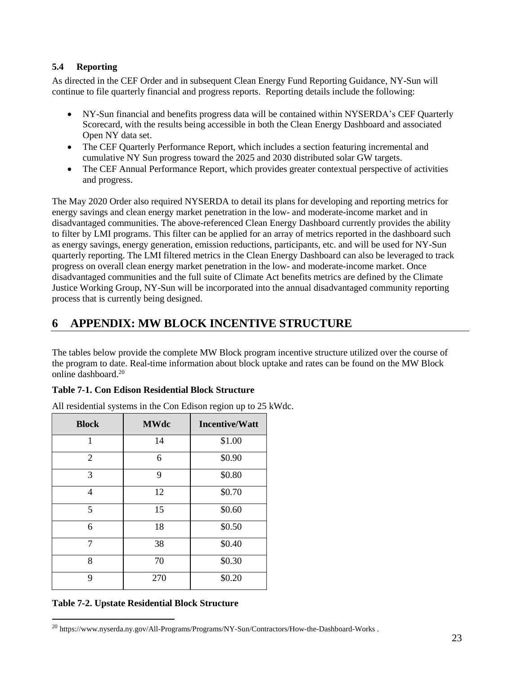## <span id="page-22-0"></span>**5.4 Reporting**

As directed in the CEF Order and in subsequent Clean Energy Fund Reporting Guidance, NY-Sun will continue to file quarterly financial and progress reports. Reporting details include the following:

- NY-Sun financial and benefits progress data will be contained within NYSERDA's CEF Quarterly Scorecard, with the results being accessible in both the Clean Energy Dashboard and associated Open NY data set.
- The CEF Quarterly Performance Report, which includes a section featuring incremental and cumulative NY Sun progress toward the 2025 and 2030 distributed solar GW targets.
- The CEF Annual Performance Report, which provides greater contextual perspective of activities and progress.

The May 2020 Order also required NYSERDA to detail its plans for developing and reporting metrics for energy savings and clean energy market penetration in the low- and moderate-income market and in disadvantaged communities. The above-referenced Clean Energy Dashboard currently provides the ability to filter by LMI programs. This filter can be applied for an array of metrics reported in the dashboard such as energy savings, energy generation, emission reductions, participants, etc. and will be used for NY-Sun quarterly reporting. The LMI filtered metrics in the Clean Energy Dashboard can also be leveraged to track progress on overall clean energy market penetration in the low- and moderate-income market. Once disadvantaged communities and the full suite of Climate Act benefits metrics are defined by the Climate Justice Working Group, NY-Sun will be incorporated into the annual disadvantaged community reporting process that is currently being designed.

## <span id="page-22-1"></span>**6 APPENDIX: MW BLOCK INCENTIVE STRUCTURE**

The tables below provide the complete MW Block program incentive structure utilized over the course of the program to date. Real-time information about block uptake and rates can be found on the MW Block online dashboard<sup>20</sup>

## **Table 7-1. Con Edison Residential Block Structure**

| <b>Block</b> | <b>MWdc</b> | <b>Incentive/Watt</b> |  |
|--------------|-------------|-----------------------|--|
| 1            | 14          | \$1.00                |  |
| 2            | 6           | \$0.90                |  |
| 3            | 9           | \$0.80                |  |
| 4            | 12          | \$0.70                |  |
| 5            | 15          | \$0.60                |  |
| 6            | 18          | \$0.50                |  |
| 7            | 38          | \$0.40                |  |
| 8            | 70          | \$0.30                |  |
| 9            | 270         | \$0.20                |  |

All residential systems in the Con Edison region up to 25 kWdc.

## **Table 7-2. Upstate Residential Block Structure**

 $\overline{a}$ 

<sup>20</sup> https://www.nyserda.ny.gov/All-Programs/Programs/NY-Sun/Contractors/How-the-Dashboard-Works .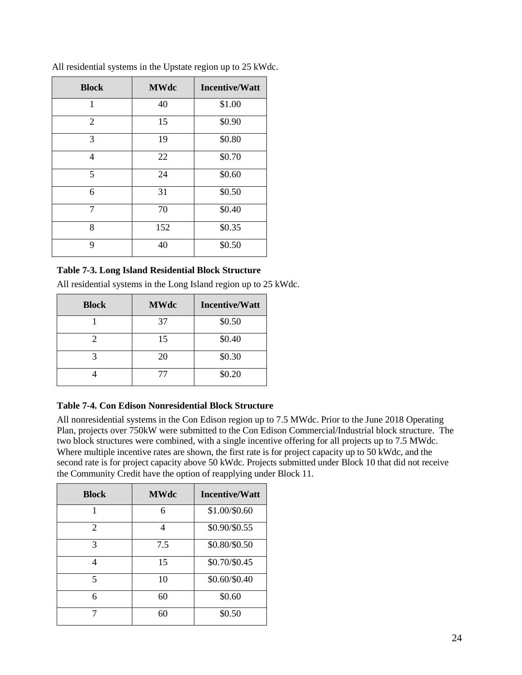| <b>Block</b>   | <b>MWdc</b> | <b>Incentive/Watt</b> |  |
|----------------|-------------|-----------------------|--|
| 1              | 40          | \$1.00                |  |
| $\overline{2}$ | 15          | \$0.90                |  |
| 3              | 19          | \$0.80                |  |
| 4              | 22          | \$0.70                |  |
| 5              | 24          | \$0.60                |  |
| 6              | 31          | \$0.50                |  |
| 7              | 70          | \$0.40                |  |
| 8              | 152         | \$0.35                |  |
| 9              | 40          | \$0.50                |  |

All residential systems in the Upstate region up to 25 kWdc.

## **Table 7-3. Long Island Residential Block Structure**

All residential systems in the Long Island region up to 25 kWdc.

| <b>Block</b> | <b>MWdc</b> | <b>Incentive/Watt</b> |  |
|--------------|-------------|-----------------------|--|
|              | 37          | \$0.50                |  |
|              | 15          | \$0.40                |  |
|              | 20          | \$0.30                |  |
|              |             | \$0.20                |  |

## **Table 7-4. Con Edison Nonresidential Block Structure**

All nonresidential systems in the Con Edison region up to 7.5 MWdc. Prior to the June 2018 Operating Plan, projects over 750kW were submitted to the Con Edison Commercial/Industrial block structure. The two block structures were combined, with a single incentive offering for all projects up to 7.5 MWdc. Where multiple incentive rates are shown, the first rate is for project capacity up to 50 kWdc, and the second rate is for project capacity above 50 kWdc. Projects submitted under Block 10 that did not receive the Community Credit have the option of reapplying under Block 11.

| <b>Block</b> | <b>MWdc</b> | <b>Incentive/Watt</b> |  |
|--------------|-------------|-----------------------|--|
|              | 6           | \$1.00/\$0.60         |  |
| 2            | 4           | \$0.90/\$0.55         |  |
| 3            | 7.5         | \$0.80/\$0.50         |  |
| 4            | 15          | \$0.70/\$0.45         |  |
| 5            | 10          | \$0.60/\$0.40         |  |
| 6            | 60          | \$0.60                |  |
|              | 60          | \$0.50                |  |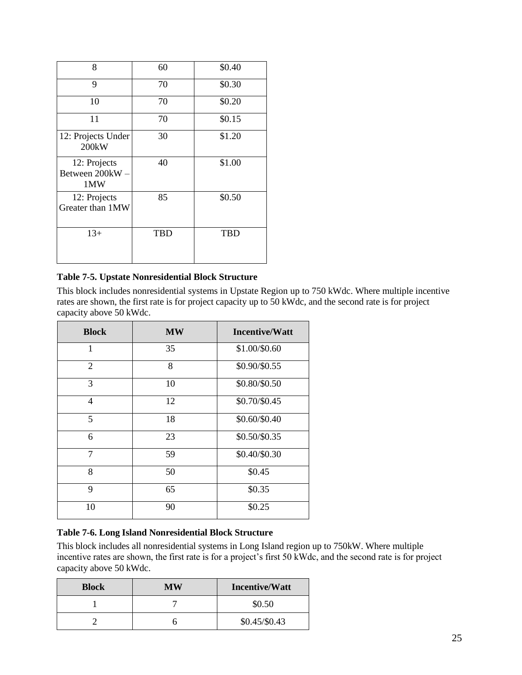| 8                                        | 60         | \$0.40     |
|------------------------------------------|------------|------------|
| 9                                        | 70         | \$0.30     |
| 10                                       | 70         | \$0.20     |
| 11                                       | 70         | \$0.15     |
| 12: Projects Under<br>200 <sub>k</sub> W | 30         | \$1.20     |
| 12: Projects<br>Between 200kW-<br>1MW    | 40         | \$1.00     |
| 12: Projects<br>Greater than 1MW         | 85         | \$0.50     |
| $13+$                                    | <b>TBD</b> | <b>TBD</b> |

## **Table 7-5. Upstate Nonresidential Block Structure**

This block includes nonresidential systems in Upstate Region up to 750 kWdc. Where multiple incentive rates are shown, the first rate is for project capacity up to 50 kWdc, and the second rate is for project capacity above 50 kWdc.

| <b>Block</b>   | <b>MW</b> | <b>Incentive/Watt</b> |  |
|----------------|-----------|-----------------------|--|
| 1              | 35        | \$1.00/\$0.60         |  |
| 2              | 8         | \$0.90/\$0.55         |  |
| 3              | 10        | \$0.80/\$0.50         |  |
| $\overline{4}$ | 12        | \$0.70/\$0.45         |  |
| 5              | 18        | \$0.60/\$0.40         |  |
| 6              | 23        | \$0.50/\$0.35         |  |
| $\tau$         | 59        | \$0.40/\$0.30         |  |
| 8              | 50        | \$0.45                |  |
| 9              | 65        | \$0.35                |  |
| 10             | 90        | \$0.25                |  |

## **Table 7-6. Long Island Nonresidential Block Structure**

This block includes all nonresidential systems in Long Island region up to 750kW. Where multiple incentive rates are shown, the first rate is for a project's first 50 kWdc, and the second rate is for project capacity above 50 kWdc.

| <b>Block</b> | МW | <b>Incentive/Watt</b> |
|--------------|----|-----------------------|
|              |    | \$0.50                |
|              |    | $$0.45/\$0.43$        |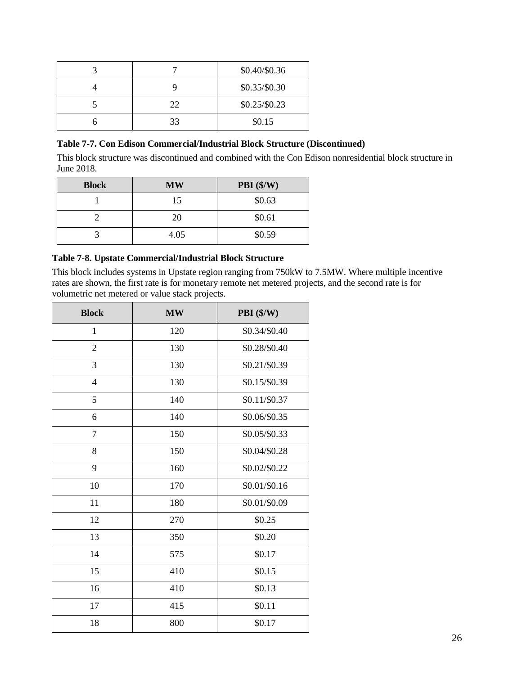| \$0.40/\$0.36 |                |
|---------------|----------------|
| \$0.35/\$0.30 |                |
| 22            | $$0.25/\$0.23$ |
| 33            | \$0.15         |

#### **Table 7-7. Con Edison Commercial/Industrial Block Structure (Discontinued)**

This block structure was discontinued and combined with the Con Edison nonresidential block structure in June 2018.

| <b>Block</b> | <b>MW</b> | PBI $(\frac{6}{W})$ |
|--------------|-----------|---------------------|
|              | 15        | \$0.63              |
|              | 20        | \$0.61              |
|              | 4.05      | \$0.59              |

## **Table 7-8. Upstate Commercial/Industrial Block Structure**

This block includes systems in Upstate region ranging from 750kW to 7.5MW. Where multiple incentive rates are shown, the first rate is for monetary remote net metered projects, and the second rate is for volumetric net metered or value stack projects.

| <b>Block</b>   | <b>MW</b> | PBI (\$/W)    |  |
|----------------|-----------|---------------|--|
| $\mathbf{1}$   | 120       | \$0.34/\$0.40 |  |
| $\overline{2}$ | 130       | \$0.28/\$0.40 |  |
| 3              | 130       | \$0.21/\$0.39 |  |
| $\overline{4}$ | 130       | \$0.15/\$0.39 |  |
| 5              | 140       | \$0.11/\$0.37 |  |
| 6              | 140       | \$0.06/\$0.35 |  |
| 7              | 150       | \$0.05/\$0.33 |  |
| 8              | 150       | \$0.04/\$0.28 |  |
| 9              | 160       | \$0.02/\$0.22 |  |
| 10             | 170       | \$0.01/\$0.16 |  |
| 11             | 180       | \$0.01/\$0.09 |  |
| 12             | 270       | \$0.25        |  |
| 13             | 350       | \$0.20        |  |
| 14             | 575       | \$0.17        |  |
| 15             | 410       | \$0.15        |  |
| 16             | 410       | \$0.13        |  |
| 17             | 415       | \$0.11        |  |
| 18             | 800       | \$0.17        |  |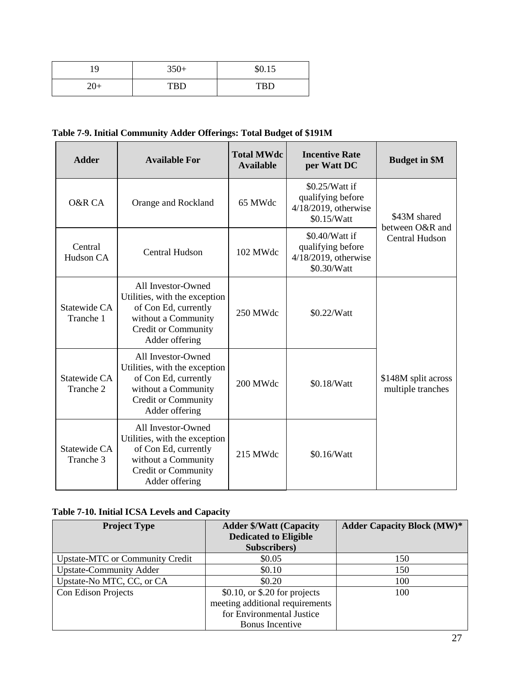| 1 Q                         | $350+$     | \$0.15     |
|-----------------------------|------------|------------|
| $\rightarrow$ $\rightarrow$ | <b>TBD</b> | <b>TBD</b> |

## **Table 7-9. Initial Community Adder Offerings: Total Budget of \$191M**

| <b>Adder</b>              | <b>Available For</b>                                                                                                                               | <b>Total MWdc</b><br><b>Available</b> | <b>Incentive Rate</b><br>per Watt DC                                          | <b>Budget in \$M</b>                     |
|---------------------------|----------------------------------------------------------------------------------------------------------------------------------------------------|---------------------------------------|-------------------------------------------------------------------------------|------------------------------------------|
| O&R CA                    | Orange and Rockland                                                                                                                                | 65 MWdc                               | \$0.25/Watt if<br>qualifying before<br>$4/18/2019$ , otherwise<br>\$0.15/Watt | \$43M shared                             |
| Central<br>Hudson CA      | <b>Central Hudson</b>                                                                                                                              | 102 MWdc                              | \$0.40/Watt if<br>qualifying before<br>4/18/2019, otherwise<br>\$0.30/Watt    | between O&R and<br><b>Central Hudson</b> |
| Statewide CA<br>Tranche 1 | All Investor-Owned<br>Utilities, with the exception<br>of Con Ed, currently<br>without a Community<br><b>Credit or Community</b><br>Adder offering | 250 MWdc                              | \$0.22/Watt                                                                   |                                          |
| Statewide CA<br>Tranche 2 | All Investor-Owned<br>Utilities, with the exception<br>of Con Ed, currently<br>without a Community<br><b>Credit or Community</b><br>Adder offering | 200 MWdc                              | \$0.18/Watt                                                                   | \$148M split across<br>multiple tranches |
| Statewide CA<br>Tranche 3 | All Investor-Owned<br>Utilities, with the exception<br>of Con Ed, currently<br>without a Community<br>Credit or Community<br>Adder offering        | 215 MWdc                              | \$0.16/Watt                                                                   |                                          |

## **Table 7-10. Initial ICSA Levels and Capacity**

| <b>Project Type</b>                    | <b>Adder \$/Watt (Capacity</b>  | <b>Adder Capacity Block (MW)*</b> |
|----------------------------------------|---------------------------------|-----------------------------------|
|                                        | <b>Dedicated to Eligible</b>    |                                   |
|                                        | Subscribers)                    |                                   |
| <b>Upstate-MTC or Community Credit</b> | \$0.05                          | 150                               |
| <b>Upstate-Community Adder</b>         | \$0.10                          | 150                               |
| Upstate-No MTC, CC, or CA              | \$0.20                          | 100                               |
| Con Edison Projects                    | $$0.10$ , or \$.20 for projects | 100                               |
|                                        | meeting additional requirements |                                   |
|                                        | for Environmental Justice       |                                   |
|                                        | <b>Bonus</b> Incentive          |                                   |